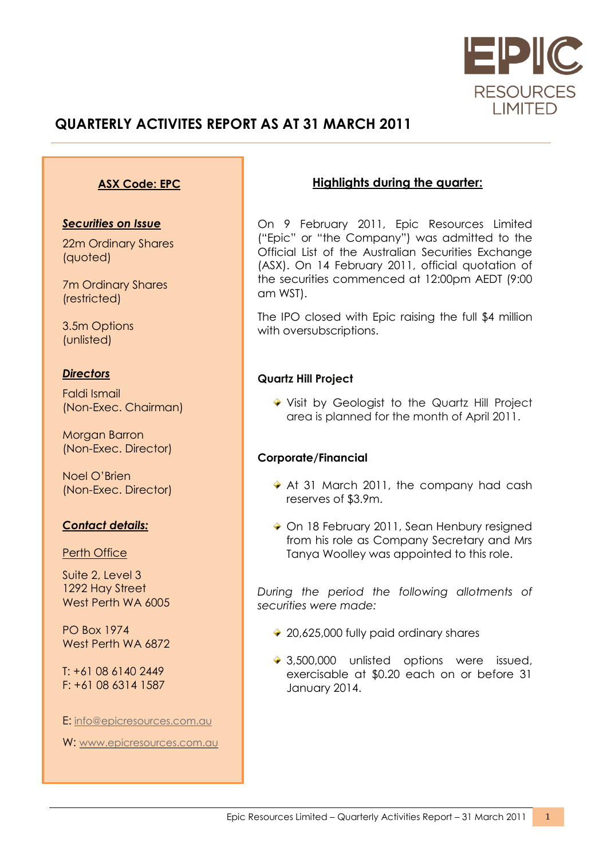

# **QUARTERLY ACTIVITES REPORT AS AT 31 MARCH 2011**

### **ASX Code: EPC**

#### *Securities on Issue*

22m Ordinary Shares (quoted)

7m Ordinary Shares (restricted)

3.5m Options (unlisted)

#### *Directors*

Faldi Ismail (Non-Exec. Chairman)

Morgan Barron (Non-Exec. Director)

Noel O'Brien (Non-Exec. Director)

### *Contact details:*

**Perth Office** 

Suite 2, Level 3 1292 Hay Street West Perth WA 6005

PO Box 1974 West Perth WA 6872

T: +61 08 6140 2449 F: +61 08 6314 1587

E: [info@epicresources.com.au](mailto:info@epicresources.com.au)

W: [www.epicresources.com.au](http://www.epicresources.com.au/)

## **Highlights during the quarter:**

On 9 February 2011, Epic Resources Limited ("Epic" or "the Company") was admitted to the Official List of the Australian Securities Exchange (ASX). On 14 February 2011, official quotation of the securities commenced at 12:00pm AEDT (9:00 am WST).

The IPO closed with Epic raising the full \$4 million with oversubscriptions.

### **Quartz Hill Project**

Visit by Geologist to the Quartz Hill Project area is planned for the month of April 2011.

#### **Corporate/Financial**

- At 31 March 2011, the company had cash reserves of \$3.9m.
- ◆ On 18 February 2011, Sean Henbury resigned from his role as Company Secretary and Mrs Tanya Woolley was appointed to this role.

*During the period the following allotments of securities were made:*

- ◆ 20,625,000 fully paid ordinary shares
- ◆ 3,500,000 unlisted options were issued, exercisable at \$0.20 each on or before 31 January 2014.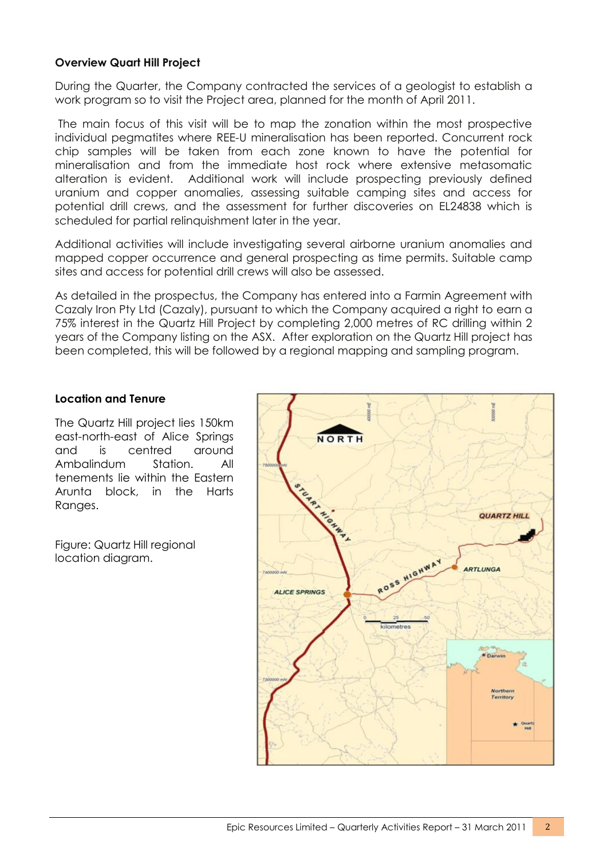## **Overview Quart Hill Project**

During the Quarter, the Company contracted the services of a geologist to establish a work program so to visit the Project area, planned for the month of April 2011.

The main focus of this visit will be to map the zonation within the most prospective individual pegmatites where REE-U mineralisation has been reported. Concurrent rock chip samples will be taken from each zone known to have the potential for mineralisation and from the immediate host rock where extensive metasomatic alteration is evident. Additional work will include prospecting previously defined uranium and copper anomalies, assessing suitable camping sites and access for potential drill crews, and the assessment for further discoveries on EL24838 which is scheduled for partial relinquishment later in the year.

Additional activities will include investigating several airborne uranium anomalies and mapped copper occurrence and general prospecting as time permits. Suitable camp sites and access for potential drill crews will also be assessed.

As detailed in the prospectus, the Company has entered into a Farmin Agreement with Cazaly Iron Pty Ltd (Cazaly), pursuant to which the Company acquired a right to earn a 75% interest in the Quartz Hill Project by completing 2,000 metres of RC drilling within 2 years of the Company listing on the ASX. After exploration on the Quartz Hill project has been completed, this will be followed by a regional mapping and sampling program.

#### **Location and Tenure**

The Quartz Hill project lies 150km east-north-east of Alice Springs and is centred around Ambalindum Station. All tenements lie within the Eastern Arunta block, in the Harts Ranges.

Figure: Quartz Hill regional location diagram.

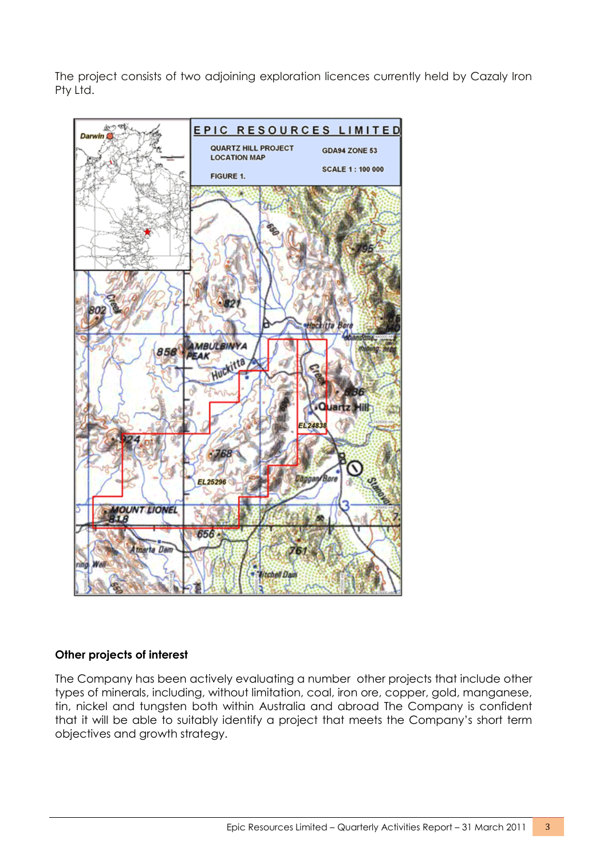The project consists of two adjoining exploration licences currently held by Cazaly Iron Pty Ltd.



### **Other projects of interest**

The Company has been actively evaluating a number other projects that include other types of minerals, including, without limitation, coal, iron ore, copper, gold, manganese, tin, nickel and tungsten both within Australia and abroad The Company is confident that it will be able to suitably identify a project that meets the Company's short term objectives and growth strategy.